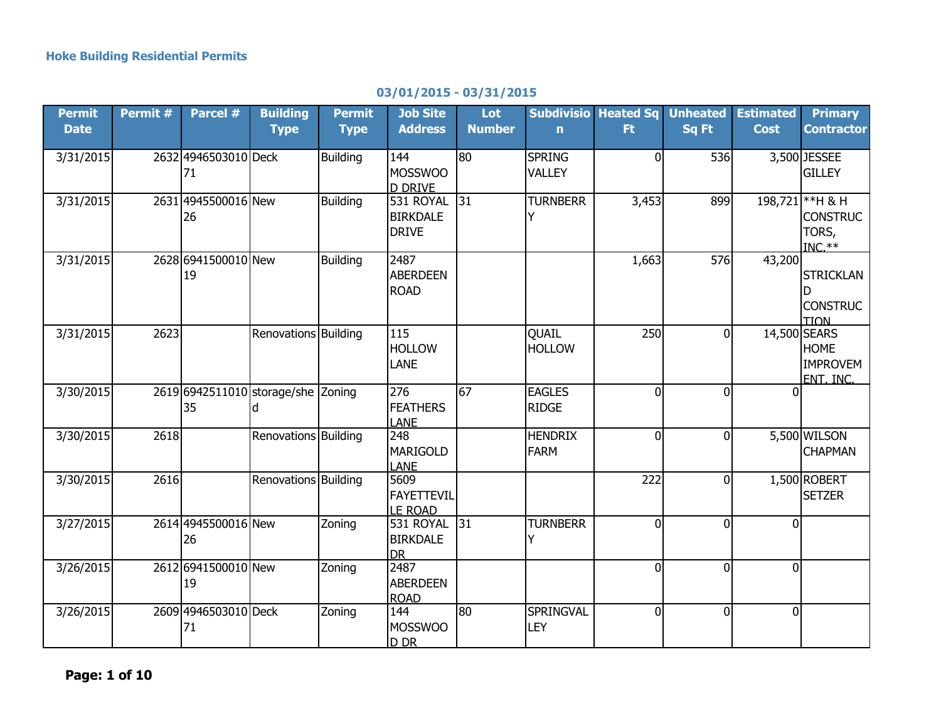## **03/01/2015 - 03/31/2015**

| Permit<br><b>Date</b> | Permit # | Parcel #                                 | <b>Building</b><br><b>Type</b> | Permit<br><b>Type</b> | <b>Job Site</b><br><b>Address</b>                              | Lot<br><b>Number</b> | $\mathbf n$                    | <b>Subdivisio Heated Sq</b><br>Ft. | <b>Unheated</b><br>Sq Ft | <b>Estimated</b><br><b>Cost</b> | <b>Primary</b><br><b>Contractor</b>                      |
|-----------------------|----------|------------------------------------------|--------------------------------|-----------------------|----------------------------------------------------------------|----------------------|--------------------------------|------------------------------------|--------------------------|---------------------------------|----------------------------------------------------------|
| 3/31/2015             |          | 2632 4946503010 Deck<br>71               |                                | <b>Building</b>       | 144<br><b>MOSSWOO</b>                                          | $\overline{80}$      | <b>SPRING</b><br><b>VALLEY</b> | $\overline{0}$                     | 536                      |                                 | 3,500 JESSEE<br><b>GILLEY</b>                            |
| 3/31/2015             |          | 2631 4945500016 New<br>26                |                                | <b>Building</b>       | <b>D DRIVE</b><br>531 ROYAL<br><b>BIRKDALE</b><br><b>DRIVE</b> | 31                   | <b>TURNBERR</b>                | 3,453                              | 899                      |                                 | 198,721 ** H & H<br><b>CONSTRUC</b><br>TORS,<br>$INC.**$ |
| 3/31/2015             |          | 2628 6941500010 New<br>19                |                                | <b>Building</b>       | 2487<br><b>ABERDEEN</b><br><b>ROAD</b>                         |                      |                                | 1,663                              | 576                      | 43,200                          | <b>STRICKLAN</b><br>D<br><b>CONSTRUC</b><br><b>TION</b>  |
| 3/31/2015             | 2623     |                                          | Renovations Building           |                       | 115<br><b>HOLLOW</b><br>LANE                                   |                      | <b>QUAIL</b><br><b>HOLLOW</b>  | 250                                | $\overline{0}$           | 14,500 SEARS                    | <b>HOME</b><br><b>IMPROVEM</b><br><b>ENT. INC.</b>       |
| 3/30/2015             |          | 2619 6942511010 storage/she Zoning<br>35 | ld.                            |                       | 276<br><b>FEATHERS</b><br><b>LANE</b>                          | 67                   | <b>EAGLES</b><br><b>RIDGE</b>  | $\overline{0}$                     | $\Omega$                 |                                 |                                                          |
| 3/30/2015             | 2618     |                                          | Renovations Building           |                       | 248<br><b>MARIGOLD</b><br><b>LANE</b>                          |                      | <b>HENDRIX</b><br><b>FARM</b>  | $\overline{0}$                     | $\overline{0}$           |                                 | 5,500 WILSON<br><b>CHAPMAN</b>                           |
| 3/30/2015             | 2616     |                                          | Renovations Building           |                       | 5609<br><b>FAYETTEVIL</b><br><b>LE ROAD</b>                    |                      |                                | 222                                | $\overline{0}$           |                                 | 1,500 ROBERT<br><b>SETZER</b>                            |
| 3/27/2015             |          | 2614 4945500016 New<br>26                |                                | Zoning                | 531 ROYAL<br><b>BIRKDALE</b><br><b>DR</b>                      | 31                   | <b>TURNBERR</b>                | $\overline{0}$                     | $\Omega$                 | 0                               |                                                          |
| 3/26/2015             |          | 2612 6941500010 New<br>19                |                                | Zoning                | 2487<br><b>ABERDEEN</b><br><b>ROAD</b>                         |                      |                                | $\overline{0}$                     | $\overline{0}$           | $\overline{0}$                  |                                                          |
| 3/26/2015             |          | 2609 4946503010 Deck<br>71               |                                | Zoning                | 144<br><b>MOSSWOO</b><br>D DR                                  | 80                   | SPRINGVAL<br><b>LEY</b>        | $\overline{0}$                     | $\Omega$                 | $\mathbf 0$                     |                                                          |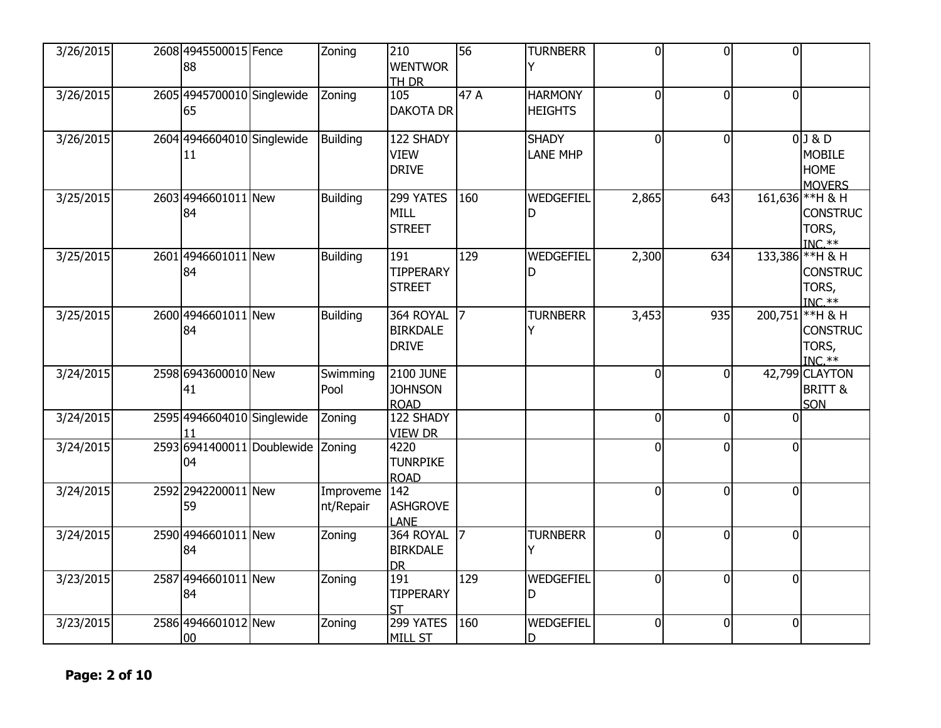| 3/26/2015 | 2608 4945500015 Fence<br>88      | Zoning                 | 210<br><b>WENTWOR</b><br><b>TH DR</b>             | 56             | <b>TURNBERR</b>                  | 0              | $\Omega$ | $\overline{0}$ |                                                            |
|-----------|----------------------------------|------------------------|---------------------------------------------------|----------------|----------------------------------|----------------|----------|----------------|------------------------------------------------------------|
| 3/26/2015 | 2605 4945700010 Singlewide<br>65 | Zoning                 | 105<br><b>DAKOTA DR</b>                           | 47 A           | <b>HARMONY</b><br><b>HEIGHTS</b> | $\overline{0}$ | $\Omega$ | $\overline{0}$ |                                                            |
| 3/26/2015 | 2604 4946604010 Singlewide<br>11 | <b>Building</b>        | 122 SHADY<br><b>VIEW</b><br><b>DRIVE</b>          |                | <b>SHADY</b><br><b>LANE MHP</b>  | $\overline{0}$ | $\Omega$ |                | $0$ 3 & D<br><b>MOBILE</b><br><b>HOME</b><br><b>MOVERS</b> |
| 3/25/2015 | 2603 4946601011 New<br>84        | <b>Building</b>        | 299 YATES<br><b>MILL</b><br><b>STREET</b>         | 160            | WEDGEFIEL<br>D                   | 2,865          | 643      |                | 161,636 ** H & H<br><b>CONSTRUC</b><br>TORS,<br>$INC.**$   |
| 3/25/2015 | 2601 4946601011 New<br>84        | <b>Building</b>        | 191<br><b>TIPPERARY</b><br><b>STREET</b>          | 129            | WEDGEFIEL<br>D                   | 2,300          | 634      |                | 133,386 ** H & H<br><b>CONSTRUC</b><br>TORS,<br>$INC.**$   |
| 3/25/2015 | 2600 4946601011 New<br>84        | <b>Building</b>        | 364 ROYAL<br><b>BIRKDALE</b><br><b>DRIVE</b>      | $\overline{z}$ | <b>TURNBERR</b><br>Y             | 3,453          | 935      |                | 200,751 ** H & H<br><b>CONSTRUC</b><br>TORS,<br>$INC.**$   |
| 3/24/2015 | 2598 6943600010 New<br>41        | Swimming<br>Pool       | <b>2100 JUNE</b><br><b>JOHNSON</b><br><b>ROAD</b> |                |                                  | 0              |          |                | 42,799 CLAYTON<br><b>BRITT &amp;</b><br>SON                |
| 3/24/2015 | 2595 4946604010 Singlewide       | Zoning                 | 122 SHADY<br><b>VIEW DR</b>                       |                |                                  | $\mathbf 0$    | $\Omega$ | U              |                                                            |
| 3/24/2015 | 2593 6941400011 Doublewide<br>04 | Zoning                 | 4220<br><b>TUNRPIKE</b><br><b>ROAD</b>            |                |                                  | 0              | 0        | $\Omega$       |                                                            |
| 3/24/2015 | 2592 2942200011 New<br>59        | Improveme<br>nt/Repair | 142<br><b>ASHGROVE</b><br>LANE                    |                |                                  | 0              | $\Omega$ | $\overline{0}$ |                                                            |
| 3/24/2015 | 2590 4946601011 New<br>84        | Zoning                 | 364 ROYAL<br><b>BIRKDALE</b><br><b>DR</b>         | $\overline{7}$ | <b>TURNBERR</b><br>Y             | $\overline{0}$ | ∩        | $\overline{0}$ |                                                            |
| 3/23/2015 | 2587 4946601011 New<br>84        | Zoning                 | 191<br><b>TIPPERARY</b><br><b>ST</b>              | 129            | WEDGEFIEL<br>D                   | 0              | $\Omega$ | $\mathbf 0$    |                                                            |
| 3/23/2015 | 2586 4946601012 New<br>00        | Zoning                 | 299 YATES<br>MILL ST                              | 160            | WEDGEFIEL<br>D                   | $\overline{0}$ | $\Omega$ | $\overline{0}$ |                                                            |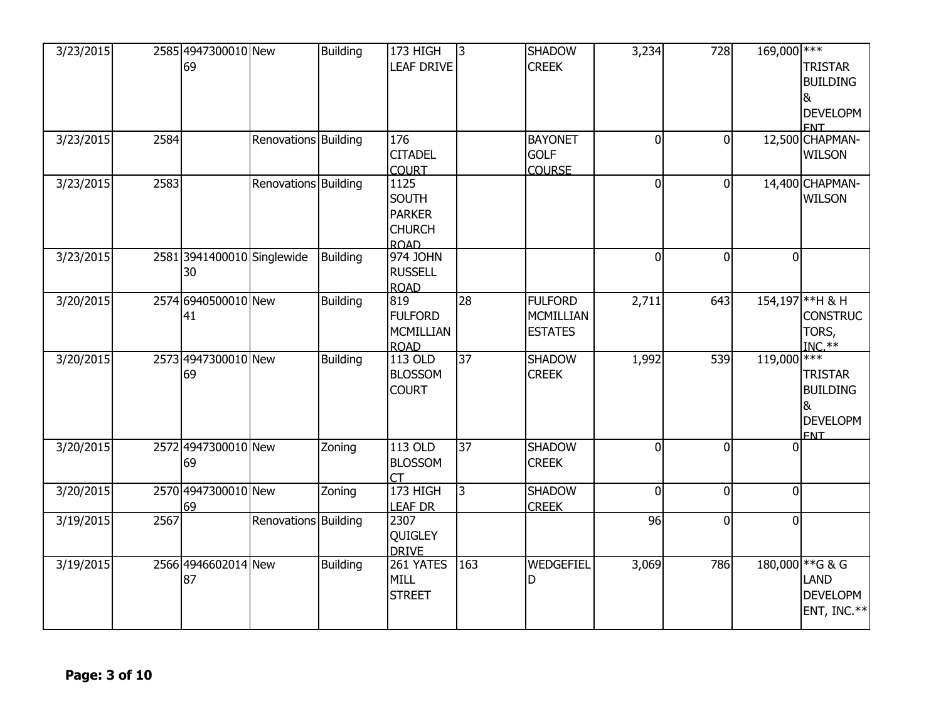| 3/23/2015<br>3/23/2015 | 2584 | 2585 4947300010 New<br>69        | Renovations Building | Building        | 173 HIGH<br><b>LEAF DRIVE</b><br>176                                  | $\overline{3}$  | <b>SHADOW</b><br><b>CREEK</b><br><b>BAYONET</b>      | 3,234<br>0     | 728<br>$\Omega$ | $169,000$ *** | <b>TRISTAR</b><br><b>BUILDING</b><br>&<br><b>DEVELOPM</b><br><b>FNT</b><br>12,500 CHAPMAN- |
|------------------------|------|----------------------------------|----------------------|-----------------|-----------------------------------------------------------------------|-----------------|------------------------------------------------------|----------------|-----------------|---------------|--------------------------------------------------------------------------------------------|
|                        |      |                                  |                      |                 | <b>CITADEL</b><br><b>COURT</b>                                        |                 | <b>GOLF</b><br><b>COURSE</b>                         |                |                 |               | <b>WILSON</b>                                                                              |
| 3/23/2015              | 2583 |                                  | Renovations Building |                 | 1125<br><b>SOUTH</b><br><b>PARKER</b><br><b>CHURCH</b><br><b>ROAD</b> |                 |                                                      | $\overline{0}$ | $\Omega$        |               | 14,400 CHAPMAN-<br><b>WILSON</b>                                                           |
| 3/23/2015              |      | 2581 3941400010 Singlewide<br>30 |                      | <b>Building</b> | 974 JOHN<br><b>RUSSELL</b><br><b>ROAD</b>                             |                 |                                                      | $\overline{0}$ | $\overline{0}$  | $\Omega$      |                                                                                            |
| 3/20/2015              |      | 2574 6940500010 New<br>41        |                      | <b>Building</b> | 819<br><b>FULFORD</b><br>MCMILLIAN<br><b>ROAD</b>                     | $\overline{28}$ | <b>FULFORD</b><br><b>MCMILLIAN</b><br><b>ESTATES</b> | 2,711          | 643             |               | 154,197 ** H & H<br><b>CONSTRUC</b><br>TORS,<br>$INC.**$                                   |
| 3/20/2015              |      | 2573 4947300010 New<br>69        |                      | Building        | 113 OLD<br><b>BLOSSOM</b><br><b>COURT</b>                             | $\overline{37}$ | <b>SHADOW</b><br><b>CREEK</b>                        | 1,992          | 539             | $119,000$ *** | <b>TRISTAR</b><br><b>BUILDING</b><br>&<br><b>DEVELOPM</b><br><b>FNT</b>                    |
| 3/20/2015              |      | 2572 4947300010 New<br>69        |                      | Zoning          | 113 OLD<br><b>BLOSSOM</b>                                             | 37              | <b>SHADOW</b><br><b>CREEK</b>                        | 0              | $\Omega$        | <sup>0</sup>  |                                                                                            |
| 3/20/2015              |      | 2570 4947300010 New<br>69        |                      | Zoning          | 173 HIGH<br><b>LEAF DR</b>                                            | $\overline{3}$  | <b>SHADOW</b><br><b>CREEK</b>                        | $\Omega$       | $\Omega$        | $\Omega$      |                                                                                            |
| 3/19/2015              | 2567 |                                  | Renovations Building |                 | 2307<br>QUIGLEY<br><b>DRIVE</b>                                       |                 |                                                      | 96             | $\overline{0}$  | $\Omega$      |                                                                                            |
| 3/19/2015              |      | 2566 4946602014 New<br>87        |                      | <b>Building</b> | 261 YATES<br>MILL<br><b>STREET</b>                                    | 163             | WEDGEFIEL<br>D                                       | 3,069          | 786             |               | 180,000 ** G & G<br>LAND<br><b>DEVELOPM</b><br>ENT, INC. $**$                              |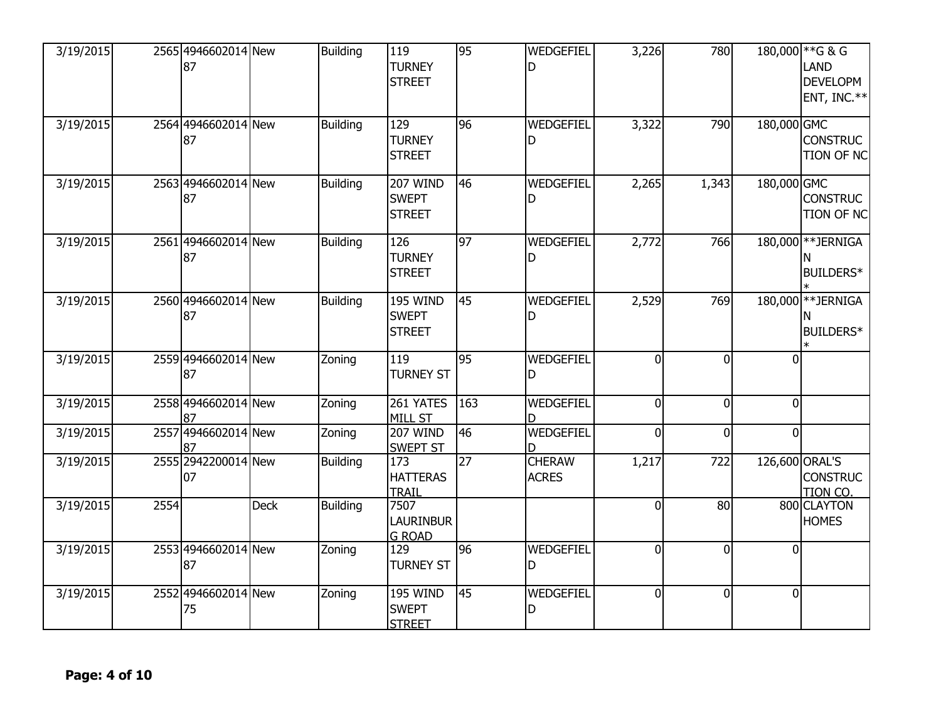| 3/19/2015 |      | 2565 4946602014 New<br>87 |             | <b>Building</b> | 119<br><b>TURNEY</b><br><b>STREET</b>            | 95              | WEDGEFIEL<br>D                | 3,226          | 780      |                | 180,000 ** G & G<br><b>LAND</b><br><b>DEVELOPM</b><br>ENT, INC.** |
|-----------|------|---------------------------|-------------|-----------------|--------------------------------------------------|-----------------|-------------------------------|----------------|----------|----------------|-------------------------------------------------------------------|
| 3/19/2015 |      | 2564 4946602014 New<br>87 |             | <b>Building</b> | 129<br><b>TURNEY</b><br><b>STREET</b>            | 96              | WEDGEFIEL<br>D                | 3,322          | 790      | 180,000 GMC    | <b>CONSTRUC</b><br><b>TION OF NC</b>                              |
| 3/19/2015 |      | 2563 4946602014 New<br>87 |             | <b>Building</b> | <b>207 WIND</b><br><b>SWEPT</b><br><b>STREET</b> | 46              | WEDGEFIEL<br>D                | 2,265          | 1,343    | 180,000 GMC    | <b>CONSTRUC</b><br><b>TION OF NC</b>                              |
| 3/19/2015 |      | 2561 4946602014 New<br>87 |             | <b>Building</b> | 126<br><b>TURNEY</b><br><b>STREET</b>            | 97              | WEDGEFIEL<br>D                | 2,772          | 766      |                | 180,000 ** JERNIGA<br><b>BUILDERS*</b>                            |
| 3/19/2015 |      | 2560 4946602014 New<br>87 |             | <b>Building</b> | <b>195 WIND</b><br><b>SWEPT</b><br><b>STREET</b> | 45              | WEDGEFIEL<br>D                | 2,529          | 769      | 180,000        | <b>**JERNIGA</b><br>BUILDERS*                                     |
| 3/19/2015 |      | 2559 4946602014 New<br>87 |             | Zoning          | 119<br><b>TURNEY ST</b>                          | 95              | WEDGEFIEL<br>D                | $\mathbf{0}$   | $\Omega$ | U              |                                                                   |
| 3/19/2015 |      | 2558 4946602014 New<br>87 |             | Zoning          | 261 YATES<br><b>MILL ST</b>                      | 163             | WEDGEFIEL                     | $\mathbf{0}$   | $\Omega$ | $\mathbf{0}$   |                                                                   |
| 3/19/2015 |      | 2557 4946602014 New       |             | Zoning          | <b>207 WIND</b><br><b>SWEPT ST</b>               | $\overline{46}$ | WEDGEFIEL<br>D                | $\Omega$       | $\Omega$ | <sup>n</sup>   |                                                                   |
| 3/19/2015 |      | 2555 2942200014 New<br>07 |             | <b>Building</b> | 173<br><b>HATTERAS</b><br><b>TRAIL</b>           | $\overline{27}$ | <b>CHERAW</b><br><b>ACRES</b> | 1,217          | 722      | 126,600 ORAL'S | <b>CONSTRUC</b><br>TION CO.                                       |
| 3/19/2015 | 2554 |                           | <b>Deck</b> | <b>Building</b> | 7507<br><b>LAURINBUR</b><br><b>G ROAD</b>        |                 |                               | $\overline{0}$ | 80       |                | 800 CLAYTON<br><b>HOMES</b>                                       |
| 3/19/2015 |      | 2553 4946602014 New<br>87 |             | Zoning          | $\overline{129}$<br><b>TURNEY ST</b>             | 96              | WEDGEFIEL<br>D                | $\Omega$       | $\Omega$ | $\Omega$       |                                                                   |
| 3/19/2015 |      | 2552 4946602014 New<br>75 |             | Zoning          | <b>195 WIND</b><br><b>SWEPT</b><br><b>STREET</b> | $\overline{45}$ | WEDGEFIEL<br>D                | $\overline{0}$ | $\Omega$ | $\Omega$       |                                                                   |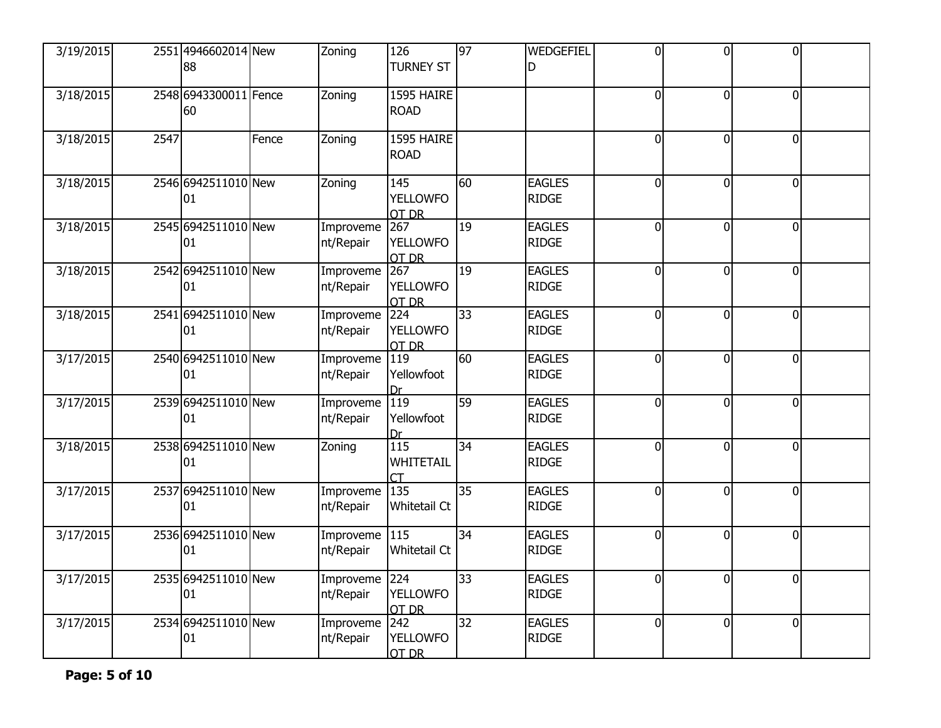| 3/19/2015 |      | 2551 4946602014 New<br>88   |       | Zoning                 | 126<br><b>TURNEY ST</b>              | 97 | WEDGEFIEL<br>D                | $\overline{0}$ | 0              | 0l             |  |
|-----------|------|-----------------------------|-------|------------------------|--------------------------------------|----|-------------------------------|----------------|----------------|----------------|--|
| 3/18/2015 |      | 2548 6943300011 Fence<br>60 |       | Zoning                 | 1595 HAIRE<br><b>ROAD</b>            |    |                               | $\overline{0}$ | 0              | $\mathbf 0$    |  |
| 3/18/2015 | 2547 |                             | Fence | Zoning                 | 1595 HAIRE<br><b>ROAD</b>            |    |                               | $\mathbf 0$    | O              | $\overline{0}$ |  |
| 3/18/2015 |      | 2546 6942511010 New<br>01   |       | Zoning                 | 145<br><b>YELLOWFO</b><br>OT DR      | 60 | <b>EAGLES</b><br><b>RIDGE</b> | $\overline{0}$ | $\Omega$       | $\overline{0}$ |  |
| 3/18/2015 |      | 2545 6942511010 New<br>01   |       | Improveme<br>nt/Repair | 267<br><b>YELLOWFO</b><br>OT DR      | 19 | <b>EAGLES</b><br><b>RIDGE</b> | $\overline{0}$ | 0              | $\mathbf 0$    |  |
| 3/18/2015 |      | 2542 6942511010 New<br>01   |       | Improveme<br>nt/Repair | 267<br><b>YELLOWFO</b><br>OT DR      | 19 | <b>EAGLES</b><br><b>RIDGE</b> | $\mathbf 0$    | O              | $\overline{0}$ |  |
| 3/18/2015 |      | 2541 6942511010 New<br>01   |       | Improveme<br>nt/Repair | 224<br><b>YELLOWFO</b><br>OT DR      | 33 | <b>EAGLES</b><br><b>RIDGE</b> | $\overline{0}$ | $\Omega$       | $\overline{0}$ |  |
| 3/17/2015 |      | 2540 6942511010 New<br>01   |       | Improveme<br>nt/Repair | $\overline{119}$<br>Yellowfoot<br>Dr | 60 | <b>EAGLES</b><br><b>RIDGE</b> | $\overline{0}$ | $\Omega$       | $\mathbf 0$    |  |
| 3/17/2015 |      | 2539 6942511010 New<br>01   |       | Improveme<br>nt/Repair | $\overline{119}$<br>Yellowfoot<br>Dr | 59 | <b>EAGLES</b><br><b>RIDGE</b> | 0              | $\Omega$       | $\overline{0}$ |  |
| 3/18/2015 |      | 2538 6942511010 New<br>01   |       | Zoning                 | 115<br>WHITETAIL                     | 34 | <b>EAGLES</b><br><b>RIDGE</b> | $\overline{0}$ | $\overline{0}$ | $\overline{0}$ |  |
| 3/17/2015 |      | 2537 6942511010 New<br>01   |       | Improveme<br>nt/Repair | 135<br><b>Whitetail Ct</b>           | 35 | <b>EAGLES</b><br><b>RIDGE</b> | $\overline{0}$ | $\Omega$       | $\overline{0}$ |  |
| 3/17/2015 |      | 2536 6942511010 New<br>01   |       | Improveme<br>nt/Repair | 115<br><b>Whitetail Ct</b>           | 34 | <b>EAGLES</b><br><b>RIDGE</b> | 0              | $\overline{0}$ | $\overline{0}$ |  |
| 3/17/2015 |      | 2535 6942511010 New<br>01   |       | Improveme<br>nt/Repair | 1224<br><b>YELLOWFO</b><br>OT DR     | 33 | <b>EAGLES</b><br><b>RIDGE</b> | $\overline{0}$ | $\overline{0}$ | $\overline{0}$ |  |
| 3/17/2015 |      | 2534 6942511010 New<br>01   |       | Improveme<br>nt/Repair | 242<br><b>YELLOWFO</b><br>OT DR      | 32 | <b>EAGLES</b><br><b>RIDGE</b> | $\overline{0}$ | $\Omega$       | $\overline{0}$ |  |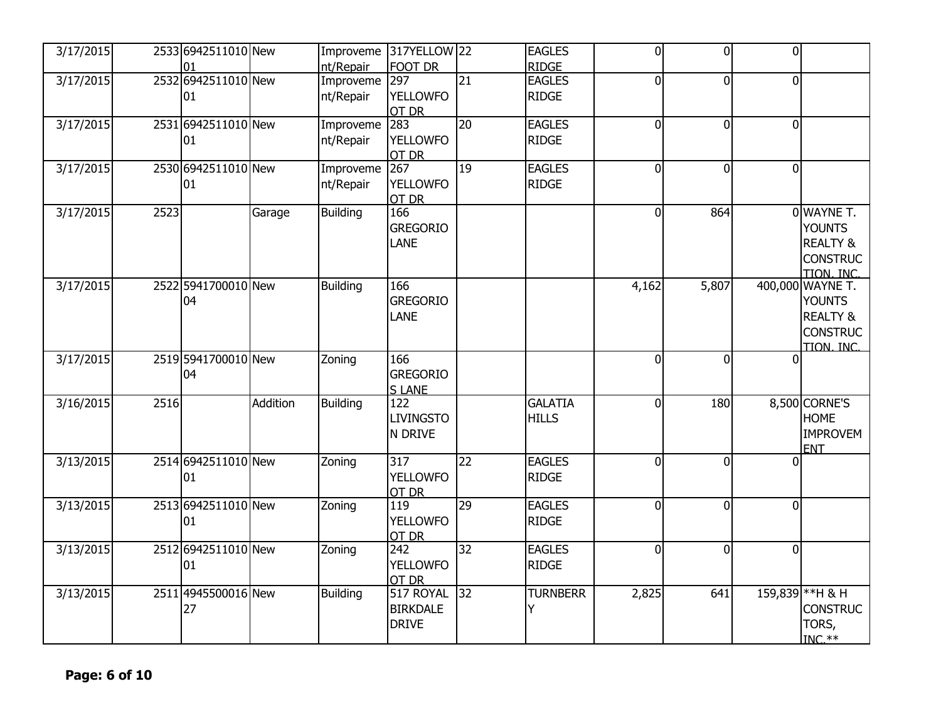| 3/17/2015 |      | 2533 6942511010 New       |          | Improveme<br>nt/Repair     | 317YELLOW 22<br><b>FOOT DR</b>               |                 | <b>EAGLES</b><br><b>RIDGE</b>  | $\mathbf 0$    | $\vert$ 0 | $\overline{0}$ |                                                                                           |
|-----------|------|---------------------------|----------|----------------------------|----------------------------------------------|-----------------|--------------------------------|----------------|-----------|----------------|-------------------------------------------------------------------------------------------|
| 3/17/2015 |      | 2532 6942511010 New<br>01 |          | Improveme 297<br>nt/Repair | <b>YELLOWFO</b><br>OT DR                     | $\overline{21}$ | <b>EAGLES</b><br><b>RIDGE</b>  | 0              | $\Omega$  | $\overline{0}$ |                                                                                           |
| 3/17/2015 |      | 2531 6942511010 New<br>01 |          | Improveme<br>nt/Repair     | 283<br><b>YELLOWFO</b><br>OT DR              | 20              | <b>EAGLES</b><br><b>RIDGE</b>  | 0              | $\Omega$  | $\overline{0}$ |                                                                                           |
| 3/17/2015 |      | 2530 6942511010 New<br>01 |          | Improveme<br>nt/Repair     | 267<br><b>YELLOWFO</b><br>OT DR              | 19              | <b>EAGLES</b><br><b>RIDGE</b>  | 0              | $\Omega$  | $\overline{0}$ |                                                                                           |
| 3/17/2015 | 2523 |                           | Garage   | <b>Building</b>            | 166<br><b>GREGORIO</b><br><b>LANE</b>        |                 |                                | 0              | 864       |                | 0 WAYNE T.<br><b>YOUNTS</b><br><b>REALTY &amp;</b><br><b>CONSTRUC</b><br>TION INC         |
| 3/17/2015 |      | 2522 5941700010 New<br>04 |          | <b>Building</b>            | 166<br><b>GREGORIO</b><br>LANE               |                 |                                | 4,162          | 5,807     |                | 400,000 WAYNE T.<br><b>YOUNTS</b><br><b>REALTY &amp;</b><br><b>CONSTRUC</b><br>TION, INC. |
| 3/17/2015 |      | 2519 5941700010 New<br>04 |          | Zoning                     | 166<br><b>GREGORIO</b><br><b>SLANE</b>       |                 |                                | 0              | $\Omega$  | 0              |                                                                                           |
| 3/16/2015 | 2516 |                           | Addition | <b>Building</b>            | 122<br><b>LIVINGSTO</b><br>N DRIVE           |                 | <b>GALATIA</b><br><b>HILLS</b> | 0              | 180       |                | 8,500 CORNE'S<br><b>HOME</b><br><b>IMPROVEM</b><br><b>ENT</b>                             |
| 3/13/2015 |      | 2514 6942511010 New<br>01 |          | Zoning                     | 317<br><b>YELLOWFO</b><br>OT DR              | 22              | <b>EAGLES</b><br><b>RIDGE</b>  | $\overline{0}$ | $\Omega$  | ΩI             |                                                                                           |
| 3/13/2015 |      | 2513 6942511010 New<br>01 |          | Zoning                     | 119<br><b>YELLOWFO</b><br>OT DR              | 29              | <b>EAGLES</b><br><b>RIDGE</b>  | $\overline{0}$ | $\Omega$  | $\overline{0}$ |                                                                                           |
| 3/13/2015 |      | 2512 6942511010 New<br>01 |          | Zoning                     | 242<br><b>YELLOWFO</b><br>OT DR              | 32              | <b>EAGLES</b><br><b>RIDGE</b>  | $\overline{0}$ | $\Omega$  | $\overline{0}$ |                                                                                           |
| 3/13/2015 |      | 2511 4945500016 New<br>27 |          | Building                   | 517 ROYAL<br><b>BIRKDALE</b><br><b>DRIVE</b> | 32              | <b>TURNBERR</b><br>Y           | 2,825          | 641       |                | 159,839 ** H & H<br><b>CONSTRUC</b><br>TORS,<br>$INC.**$                                  |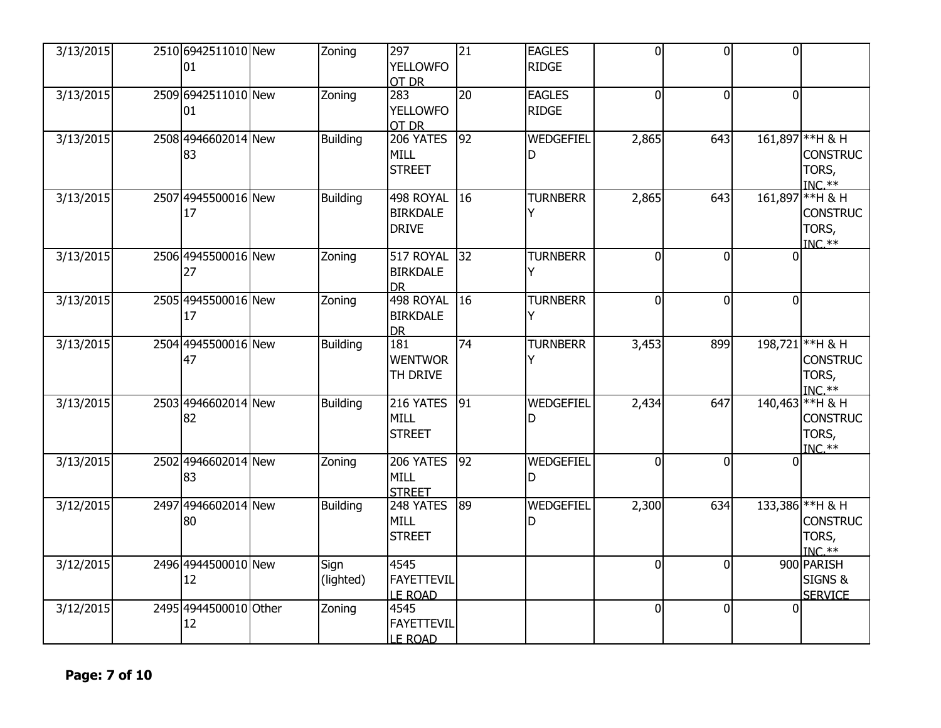| 3/13/2015 | 2510 6942511010 New<br>01   | Zoning            | 297<br><b>YELLOWFO</b><br>OT DR              | $\overline{21}$ | <b>EAGLES</b><br><b>RIDGE</b> | $\overline{0}$ | $\overline{0}$ | 0l             |                                                          |
|-----------|-----------------------------|-------------------|----------------------------------------------|-----------------|-------------------------------|----------------|----------------|----------------|----------------------------------------------------------|
| 3/13/2015 | 2509 6942511010 New<br>01   | Zoning            | 283<br><b>YELLOWFO</b><br>OT DR              | 20              | <b>EAGLES</b><br><b>RIDGE</b> | $\overline{0}$ | $\Omega$       | $\overline{0}$ |                                                          |
| 3/13/2015 | 2508 4946602014 New<br>83   | <b>Building</b>   | 206 YATES<br><b>MILL</b><br><b>STREET</b>    | $\overline{92}$ | WEDGEFIEL<br>D                | 2,865          | 643            |                | 161,897 ** H & H<br><b>CONSTRUC</b><br>TORS,<br>$INC.**$ |
| 3/13/2015 | 2507 4945500016 New<br>17   | <b>Building</b>   | 498 ROYAL<br><b>BIRKDALE</b><br><b>DRIVE</b> | 16              | <b>TURNBERR</b>               | 2,865          | 643            |                | 161,897 ** H & H<br><b>CONSTRUC</b><br>TORS,<br>$INC.**$ |
| 3/13/2015 | 2506 4945500016 New<br>27   | Zoning            | 517 ROYAL<br><b>BIRKDALE</b><br><b>DR</b>    | 32              | <b>TURNBERR</b><br>Υ          | 0              | $\Omega$       | 0              |                                                          |
| 3/13/2015 | 2505 4945500016 New<br>17   | Zoning            | 498 ROYAL<br><b>BIRKDALE</b><br><b>DR</b>    | $\overline{16}$ | <b>TURNBERR</b><br>Y          | $\overline{0}$ | $\Omega$       | $\mathbf{0}$   |                                                          |
| 3/13/2015 | 2504 4945500016 New<br>47   | <b>Building</b>   | 181<br><b>WENTWOR</b><br>TH DRIVE            | 74              | <b>TURNBERR</b>               | 3,453          | 899            |                | 198,721 ** H & H<br><b>CONSTRUC</b><br>TORS,<br>$INC.**$ |
| 3/13/2015 | 2503 4946602014 New<br>82   | <b>Building</b>   | 216 YATES<br><b>MILL</b><br><b>STREET</b>    | 91              | WEDGEFIEL<br>D                | 2,434          | 647            |                | 140,463 ** H & H<br><b>CONSTRUC</b><br>TORS,<br>$INC.**$ |
| 3/13/2015 | 2502 4946602014 New<br>83   | Zoning            | 206 YATES<br>MILL<br><b>STREET</b>           | 92              | WEDGEFIEL<br>D                | $\overline{0}$ | $\Omega$       | $\Omega$       |                                                          |
| 3/12/2015 | 2497 4946602014 New<br>80   | <b>Building</b>   | 248 YATES<br><b>MILL</b><br><b>STREET</b>    | 89              | WEDGEFIEL<br>D                | 2,300          | 634            |                | 133,386 ** H & H<br><b>CONSTRUC</b><br>TORS,<br>$INC.**$ |
| 3/12/2015 | 2496 4944500010 New<br>12   | Sign<br>(lighted) | 4545<br><b>FAYETTEVIL</b><br><b>LE ROAD</b>  |                 |                               | 0              | $\Omega$       |                | 900 PARISH<br>SIGNS &<br><b>SERVICE</b>                  |
| 3/12/2015 | 2495 4944500010 Other<br>12 | Zoning            | 4545<br><b>FAYETTEVIL</b><br><b>LE ROAD</b>  |                 |                               | $\overline{0}$ | $\Omega$       | $\Omega$       |                                                          |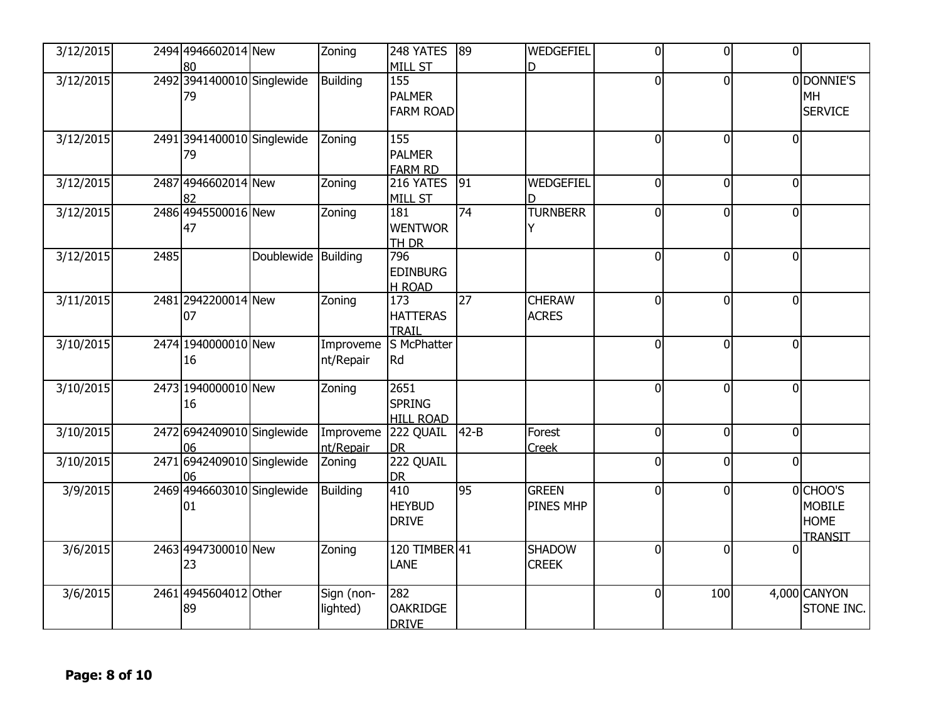| 3/12/2015 |      | 2494 4946602014 New                    |                     | Zoning                 | 248 YATES                                                  | 89              | WEDGEFIEL                     | 0              | $\Omega$ | $\overline{0}$ |                                                    |
|-----------|------|----------------------------------------|---------------------|------------------------|------------------------------------------------------------|-----------------|-------------------------------|----------------|----------|----------------|----------------------------------------------------|
| 3/12/2015 |      | 80<br>2492 3941400010 Singlewide<br>79 |                     | <b>Building</b>        | <b>MILL ST</b><br>155<br><b>PALMER</b><br><b>FARM ROAD</b> |                 | D                             | 0              | $\Omega$ |                | 0 DONNIE'S<br>MH<br><b>SERVICE</b>                 |
| 3/12/2015 |      | 2491 3941400010 Singlewide<br>79       |                     | Zoning                 | 155<br><b>PALMER</b><br><b>FARM RD</b>                     |                 |                               | 0              | $\Omega$ | $\overline{0}$ |                                                    |
| 3/12/2015 |      | 24874946602014New<br>82                |                     | Zoning                 | 216 YATES<br>MILL ST                                       | $\sqrt{91}$     | <b>WEDGEFIEL</b><br>D         | $\overline{0}$ | $\Omega$ | $\overline{0}$ |                                                    |
| 3/12/2015 |      | 2486 4945500016 New<br>47              |                     | Zoning                 | 181<br><b>WENTWOR</b><br><b>TH DR</b>                      | 74              | <b>TURNBERR</b><br>Y          | 0              | $\Omega$ | $\overline{0}$ |                                                    |
| 3/12/2015 | 2485 |                                        | Doublewide Building |                        | 796<br><b>EDINBURG</b><br><b>H ROAD</b>                    |                 |                               | 0              | $\Omega$ | $\overline{0}$ |                                                    |
| 3/11/2015 |      | 2481 2942200014 New<br>07              |                     | Zoning                 | 173<br><b>HATTERAS</b><br><b>TRAIL</b>                     | $\overline{27}$ | <b>CHERAW</b><br><b>ACRES</b> | 0              | $\Omega$ | $\overline{0}$ |                                                    |
| 3/10/2015 |      | 2474 1940000010 New<br>16              |                     | Improveme<br>nt/Repair | S McPhatter<br>Rd                                          |                 |                               | 0              | $\Omega$ | $\overline{0}$ |                                                    |
| 3/10/2015 |      | 2473 1940000010 New<br>16              |                     | Zoning                 | 2651<br><b>SPRING</b><br><b>HILL ROAD</b>                  |                 |                               | 0              | $\Omega$ | $\overline{0}$ |                                                    |
| 3/10/2015 |      | 2472 6942409010 Singlewide<br>06       |                     | Improveme<br>nt/Repair | 222 QUAIL<br><b>DR</b>                                     | $42 - B$        | Forest<br>Creek               | 0              | $\Omega$ | $\overline{0}$ |                                                    |
| 3/10/2015 |      | 2471 6942409010 Singlewide<br>06       |                     | Zoning                 | 222 QUAIL<br><b>DR</b>                                     |                 |                               | $\mathbf 0$    | $\Omega$ | $\overline{0}$ |                                                    |
| 3/9/2015  |      | 2469 4946603010 Singlewide<br>01       |                     | <b>Building</b>        | 410<br><b>HEYBUD</b><br><b>DRIVE</b>                       | 95              | <b>GREEN</b><br>PINES MHP     | $\overline{0}$ | $\Omega$ |                | 0CHOO'S<br><b>MOBILE</b><br><b>HOME</b><br>TRANSIT |
| 3/6/2015  |      | 2463 4947300010 New<br>23              |                     | Zoning                 | 120 TIMBER 41<br>LANE                                      |                 | <b>SHADOW</b><br><b>CREEK</b> | $\overline{0}$ | $\Omega$ | <sup>0</sup>   |                                                    |
| 3/6/2015  |      | 2461 4945604012 Other<br>89            |                     | Sign (non-<br>lighted) | 282<br><b>OAKRIDGE</b><br><b>DRIVE</b>                     |                 |                               | 0              | 100      |                | 4,000 CANYON<br>STONE INC.                         |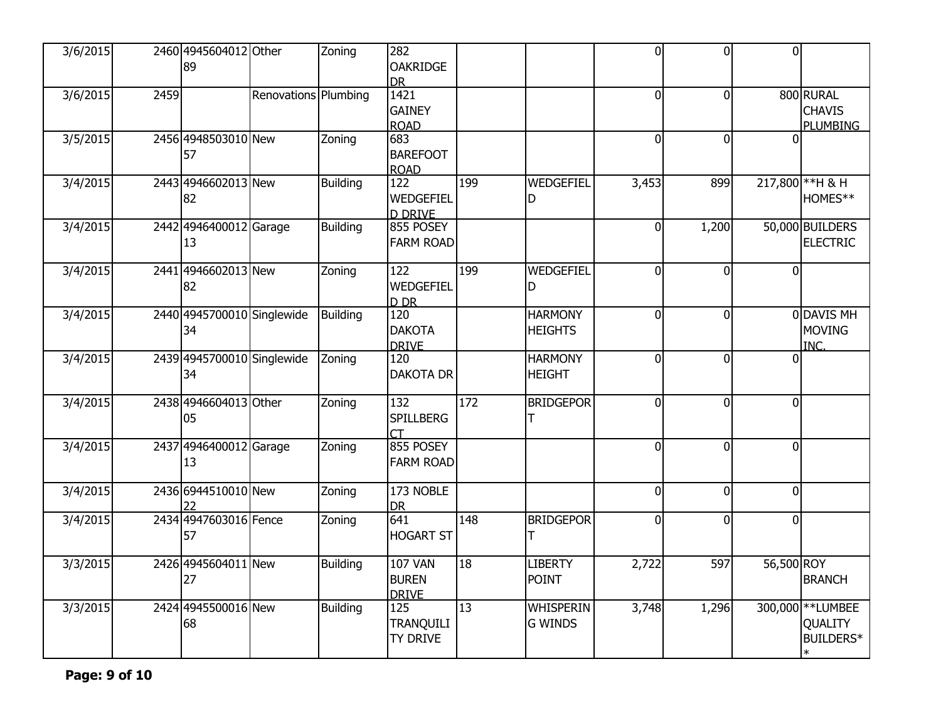| 3/6/2015 |      | 2460 4945604012 Other<br>89      |                      | Zoning          | 282<br><b>OAKRIDGE</b><br><b>DR</b>            |     |                                    | $\overline{0}$   | $\Omega$ | 0l             |                                               |
|----------|------|----------------------------------|----------------------|-----------------|------------------------------------------------|-----|------------------------------------|------------------|----------|----------------|-----------------------------------------------|
| 3/6/2015 | 2459 |                                  | Renovations Plumbing |                 | 1421<br><b>GAINEY</b><br><b>ROAD</b>           |     |                                    | $\overline{0}$   | $\Omega$ |                | 800 RURAL<br><b>CHAVIS</b><br><b>PLUMBING</b> |
| 3/5/2015 |      | 2456 4948503010 New<br>57        |                      | Zoning          | 683<br><b>BAREFOOT</b><br><b>ROAD</b>          |     |                                    | 0                | $\Omega$ | U              |                                               |
| 3/4/2015 |      | 2443 4946602013 New<br>82        |                      | <b>Building</b> | 122<br>WEDGEFIEL<br><b>D DRIVE</b>             | 199 | WEDGEFIEL<br>D                     | 3,453            | 899      |                | 217,800 ** H & H<br>HOMES**                   |
| 3/4/2015 |      | 2442 4946400012 Garage<br>13     |                      | <b>Building</b> | 855 POSEY<br><b>FARM ROAD</b>                  |     |                                    | $\boldsymbol{0}$ | 1,200    |                | 50,000 BUILDERS<br><b>ELECTRIC</b>            |
| 3/4/2015 |      | 2441 4946602013 New<br>82        |                      | Zoning          | 122<br>WEDGEFIEL<br>D <sub>DR</sub>            | 199 | WEDGEFIEL<br>D                     | 0                | $\Omega$ | $\overline{0}$ |                                               |
| 3/4/2015 |      | 2440 4945700010 Singlewide<br>34 |                      | <b>Building</b> | 120<br><b>DAKOTA</b><br><b>DRIVE</b>           |     | <b>HARMONY</b><br><b>HEIGHTS</b>   | $\overline{0}$   | $\Omega$ |                | 0 DAVIS MH<br><b>MOVING</b><br>INC.           |
| 3/4/2015 |      | 2439 4945700010 Singlewide<br>34 |                      | Zoning          | 120<br><b>DAKOTA DR</b>                        |     | <b>HARMONY</b><br><b>HEIGHT</b>    | $\overline{0}$   | $\Omega$ | <sup>0</sup>   |                                               |
| 3/4/2015 |      | 2438 4946604013 Other<br>05      |                      | Zoning          | 132<br><b>SPILLBERG</b>                        | 172 | <b>BRIDGEPOR</b><br>Т              | 0                | $\Omega$ | $\overline{0}$ |                                               |
| 3/4/2015 |      | 2437 4946400012 Garage<br>13     |                      | Zoning          | 855 POSEY<br><b>FARM ROAD</b>                  |     |                                    | 0                | $\Omega$ | $\overline{0}$ |                                               |
| 3/4/2015 |      | 2436 6944510010 New              |                      | Zoning          | 173 NOBLE<br><b>DR</b>                         |     |                                    | $\overline{0}$   | $\Omega$ | $\overline{0}$ |                                               |
| 3/4/2015 |      | 2434 4947603016 Fence<br>57      |                      | Zoning          | 641<br><b>HOGART ST</b>                        | 148 | <b>BRIDGEPOR</b>                   | 0                | $\Omega$ | $\overline{0}$ |                                               |
| 3/3/2015 |      | 2426 4945604011 New<br>27        |                      | <b>Building</b> | <b>107 VAN</b><br><b>BUREN</b><br><b>DRIVE</b> | 18  | <b>LIBERTY</b><br><b>POINT</b>     | 2,722            | 597      | 56,500 ROY     | <b>BRANCH</b>                                 |
| 3/3/2015 |      | 2424 4945500016 New<br>68        |                      | Building        | 125<br><b>TRANQUILI</b><br>TY DRIVE            | 13  | <b>WHISPERIN</b><br><b>G WINDS</b> | 3,748            | 1,296    |                | 300,000 ** LUMBEE<br>QUALITY<br>BUILDERS*     |